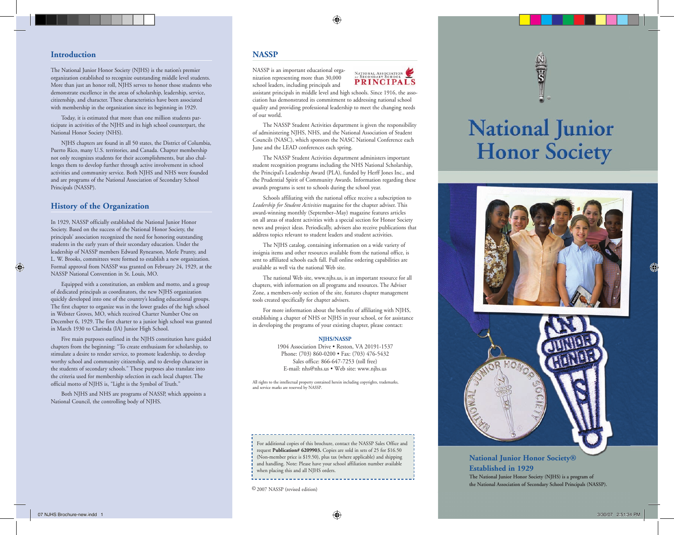#### **Introduction**

The National Junior Honor Society (NJHS) is the nation's premier organization established to recognize outstanding middle level students. More than just an honor roll, NJHS serves to honor those students who demonstrate excellence in the areas of scholarship, leadership, service, citizenship, and character. These characteristics have been associated with membership in the organization since its beginning in 1929.

Today, it is estimated that more than one million students participate in activities of the NJHS and its high school counterpart, the National Honor Society (NHS).

NJHS chapters are found in all 50 states, the District of Columbia, Puerto Rico, many U.S. territories, and Canada. Chapter membership not only recognizes students for their accomplishments, but also challenges them to develop further through active involvement in school activities and community service. Both NJHS and NHS were founded and are programs of the National Association of Secondary School Principals (NASSP).

# **History of the Organization**

In 1929, NASSP officially established the National Junior Honor Society. Based on the success of the National Honor Society, the principals' association recognized the need for honoring outstanding students in the early years of their secondary education. Under the leadership of NASSP members Edward Rynearson, Merle Prunty, and L. W. Brooks, committees were formed to establish a new organization. Formal approval from NASSP was granted on February 24, 1929, at the NASSP National Convention in St. Louis, MO.

Equipped with a constitution, an emblem and motto, and a group of dedicated principals as coordinators, the new NJHS organization quickly developed into one of the country's leading educational groups. The first chapter to organize was in the lower grades of the high school in Webster Groves, MO, which received Charter Number One on December 6, 1929. The first charter to a junior high school was granted in March 1930 to Clarinda (IA) Junior High School.

Five main purposes outlined in the NJHS constitution have guided chapters from the beginning: "To create enthusiasm for scholarship, to stimulate a desire to render service, to promote leadership, to develop worthy school and community citizenship, and to develop character in the students of secondary schools." These purposes also translate into the criteria used for membership selection in each local chapter. The official motto of NJHS is, "Light is the Symbol of Truth."

Both NJHS and NHS are programs of NASSP, which appoints a National Council, the controlling body of NJHS.

# **NASSP**

NASSP is an important educational organization representing more than 30,000 school leaders, including principals and



assistant principals in middle level and high schools. Since 1916, the association has demonstrated its com mitment to addressing national school quality and providing professional leadership to meet the changing needs of our world.

The NASSP Student Activities department is given the responsibility of administering NJHS, NHS, and the National Association of Student Councils (NASC), which sponsors the NASC National Conference each June and the LEAD conferences each spring.

The NASSP Student Activities department administers important student recognition programs including the NHS National Scholarship, the Principal's Leadership Award (PLA), funded by Herff Jones Inc., and the Prudential Spirit of Community Awards. Information regarding these awards programs is sent to schools during the school year.

Schools affiliating with the national office receive a subscription to *Leadership for Student Activities* magazine for the chapter adviser. This award-winning monthly (September–May) magazine features articles on all areas of student activities with a special section for Honor Society news and project ideas. Periodically, advisers also receive publications that address topics relevant to student leaders and student activities.

The NJHS catalog, containing information on a wide variety of insignia items and other resources available from the national office, is sent to affiliated schools each fall. Full online ordering capabilities are available as well via the national Web site.

The national Web site, www.njhs.us, is an important resource for all chapters, with information on all programs and resources. The Adviser Zone, a members-only section of the site, features chapter management tools created specifically for chapter advisers.

For more information about the benefits of affiliating with NJHS, establishing a chapter of NHS or NJHS in your school, or for assistance in developing the programs of your existing chapter, please contact:

#### **NJHS/NASSP**

1904 Association Drive • Reston, VA 20191-1537 Phone: (703) 860-0200 • Fax: (703) 476-5432 Sales office: 866-647-7253 (toll free) E-mail: nhs@nhs.us • Web site: www.njhs.us

All rights to the intellectual property contained herein including copyrights, trademarks, and service marks are reserved by NASSP.

For additional copies of this brochure, contact the NASSP Sales Office and request **Publication# 6209903.** Copies are sold in sets of 25 for \$16.50 (Non-member price is \$19.50), plus tax (where applicable) and shipping and handling. Note: Please have your school affiliation number available when placing this and all NJHS orders.

**National Junior Honor Society** 



# **National Junior Honor Society® Established in 1929**

**The National Junior Honor Society (NJHS) is a program of the National Association of Secondary School Principals (NASSP).**

© 2007 NASSP (revised edition)